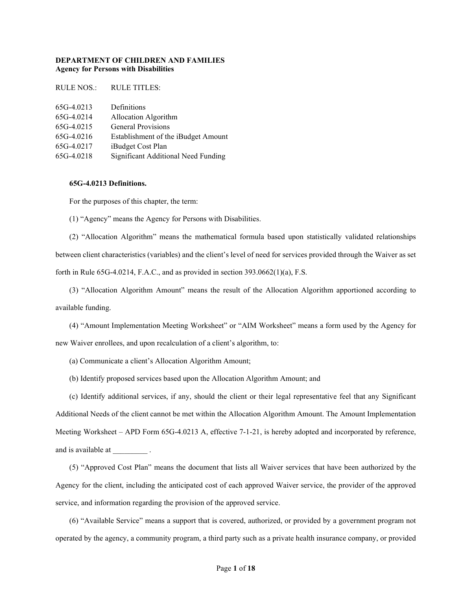## DEPARTMENT OF CHILDREN AND FAMILIES Agency for Persons with Disabilities

| RULE NOS.: | <b>RULE TITLES:</b>                 |
|------------|-------------------------------------|
|            |                                     |
| 65G-4.0213 | Definitions                         |
| 65G-4.0214 | Allocation Algorithm                |
| 65G-4.0215 | <b>General Provisions</b>           |
| 65G-4.0216 | Establishment of the iBudget Amount |
| 65G-4.0217 | iBudget Cost Plan                   |
| 65G-4.0218 | Significant Additional Need Funding |

## 65G-4.0213 Definitions.

For the purposes of this chapter, the term:

(1) "Agency" means the Agency for Persons with Disabilities.

(2) "Allocation Algorithm" means the mathematical formula based upon statistically validated relationships between client characteristics (variables) and the client's level of need for services provided through the Waiver as set forth in Rule  $65G-4.0214$ , F.A.C., and as provided in section  $393.0662(1)(a)$ , F.S.

(3) "Allocation Algorithm Amount" means the result of the Allocation Algorithm apportioned according to available funding.

(4) "Amount Implementation Meeting Worksheet" or "AIM Worksheet" means a form used by the Agency for new Waiver enrollees, and upon recalculation of a client's algorithm, to:

(a) Communicate a client's Allocation Algorithm Amount;

(b) Identify proposed services based upon the Allocation Algorithm Amount; and

(c) Identify additional services, if any, should the client or their legal representative feel that any Significant Additional Needs of the client cannot be met within the Allocation Algorithm Amount. The Amount Implementation Meeting Worksheet – APD Form 65G-4.0213 A, effective 7-1-21, is hereby adopted and incorporated by reference, and is available at  $\qquad \qquad$ .

(5) "Approved Cost Plan" means the document that lists all Waiver services that have been authorized by the Agency for the client, including the anticipated cost of each approved Waiver service, the provider of the approved service, and information regarding the provision of the approved service.

(6) "Available Service" means a support that is covered, authorized, or provided by a government program not operated by the agency, a community program, a third party such as a private health insurance company, or provided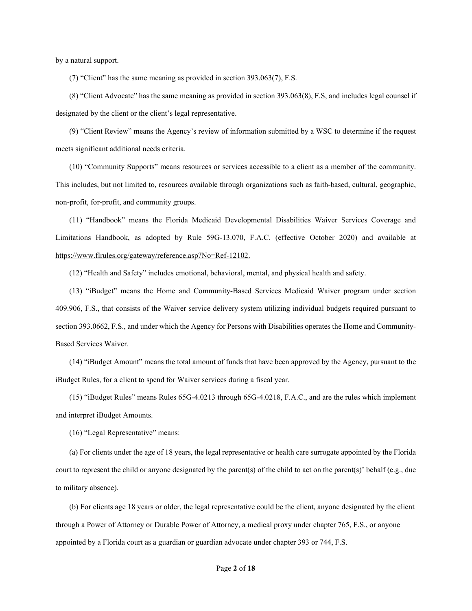by a natural support.

(7) "Client" has the same meaning as provided in section 393.063(7), F.S.

(8) "Client Advocate" has the same meaning as provided in section 393.063(8), F.S, and includes legal counsel if designated by the client or the client's legal representative.

(9) "Client Review" means the Agency's review of information submitted by a WSC to determine if the request meets significant additional needs criteria.

(10) "Community Supports" means resources or services accessible to a client as a member of the community. This includes, but not limited to, resources available through organizations such as faith-based, cultural, geographic, non-profit, for-profit, and community groups.

(11) "Handbook" means the Florida Medicaid Developmental Disabilities Waiver Services Coverage and Limitations Handbook, as adopted by Rule 59G-13.070, F.A.C. (effective October 2020) and available at https://www.flrules.org/gateway/reference.asp?No=Ref-12102.

(12) "Health and Safety" includes emotional, behavioral, mental, and physical health and safety.

(13) "iBudget" means the Home and Community-Based Services Medicaid Waiver program under section 409.906, F.S., that consists of the Waiver service delivery system utilizing individual budgets required pursuant to section 393.0662, F.S., and under which the Agency for Persons with Disabilities operates the Home and Community-Based Services Waiver.

(14) "iBudget Amount" means the total amount of funds that have been approved by the Agency, pursuant to the iBudget Rules, for a client to spend for Waiver services during a fiscal year.

(15) "iBudget Rules" means Rules 65G-4.0213 through 65G-4.0218, F.A.C., and are the rules which implement and interpret iBudget Amounts.

(16) "Legal Representative" means:

(a) For clients under the age of 18 years, the legal representative or health care surrogate appointed by the Florida court to represent the child or anyone designated by the parent(s) of the child to act on the parent(s)' behalf (e.g., due to military absence).

(b) For clients age 18 years or older, the legal representative could be the client, anyone designated by the client through a Power of Attorney or Durable Power of Attorney, a medical proxy under chapter 765, F.S., or anyone appointed by a Florida court as a guardian or guardian advocate under chapter 393 or 744, F.S.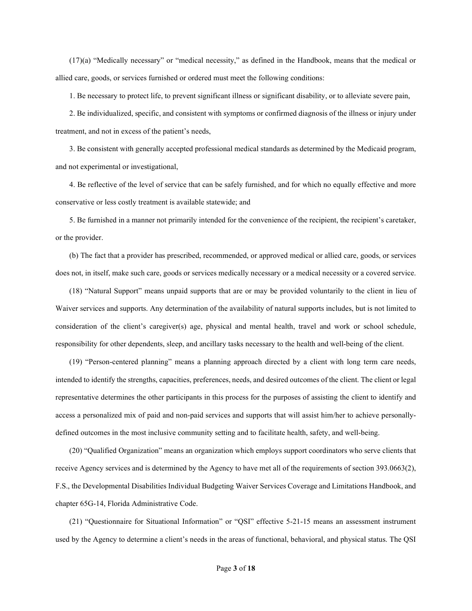(17)(a) "Medically necessary" or "medical necessity," as defined in the Handbook, means that the medical or allied care, goods, or services furnished or ordered must meet the following conditions:

1. Be necessary to protect life, to prevent significant illness or significant disability, or to alleviate severe pain,

2. Be individualized, specific, and consistent with symptoms or confirmed diagnosis of the illness or injury under treatment, and not in excess of the patient's needs,

3. Be consistent with generally accepted professional medical standards as determined by the Medicaid program, and not experimental or investigational,

4. Be reflective of the level of service that can be safely furnished, and for which no equally effective and more conservative or less costly treatment is available statewide; and

5. Be furnished in a manner not primarily intended for the convenience of the recipient, the recipient's caretaker, or the provider.

(b) The fact that a provider has prescribed, recommended, or approved medical or allied care, goods, or services does not, in itself, make such care, goods or services medically necessary or a medical necessity or a covered service.

(18) "Natural Support" means unpaid supports that are or may be provided voluntarily to the client in lieu of Waiver services and supports. Any determination of the availability of natural supports includes, but is not limited to consideration of the client's caregiver(s) age, physical and mental health, travel and work or school schedule, responsibility for other dependents, sleep, and ancillary tasks necessary to the health and well-being of the client.

(19) "Person-centered planning" means a planning approach directed by a client with long term care needs, intended to identify the strengths, capacities, preferences, needs, and desired outcomes of the client. The client or legal representative determines the other participants in this process for the purposes of assisting the client to identify and access a personalized mix of paid and non-paid services and supports that will assist him/her to achieve personallydefined outcomes in the most inclusive community setting and to facilitate health, safety, and well-being.

(20) "Qualified Organization" means an organization which employs support coordinators who serve clients that receive Agency services and is determined by the Agency to have met all of the requirements of section 393.0663(2), F.S., the Developmental Disabilities Individual Budgeting Waiver Services Coverage and Limitations Handbook, and chapter 65G-14, Florida Administrative Code.

(21) "Questionnaire for Situational Information" or "QSI" effective 5-21-15 means an assessment instrument used by the Agency to determine a client's needs in the areas of functional, behavioral, and physical status. The QSI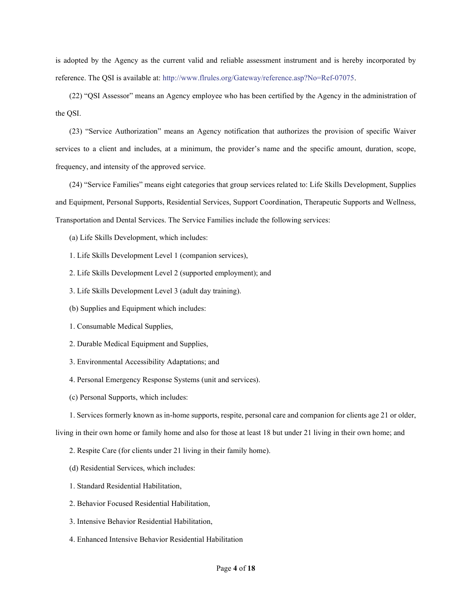is adopted by the Agency as the current valid and reliable assessment instrument and is hereby incorporated by reference. The QSI is available at: http://www.flrules.org/Gateway/reference.asp?No=Ref-07075.

(22) "QSI Assessor" means an Agency employee who has been certified by the Agency in the administration of the QSI.

(23) "Service Authorization" means an Agency notification that authorizes the provision of specific Waiver services to a client and includes, at a minimum, the provider's name and the specific amount, duration, scope, frequency, and intensity of the approved service.

(24) "Service Families" means eight categories that group services related to: Life Skills Development, Supplies and Equipment, Personal Supports, Residential Services, Support Coordination, Therapeutic Supports and Wellness, Transportation and Dental Services. The Service Families include the following services:

(a) Life Skills Development, which includes:

1. Life Skills Development Level 1 (companion services),

2. Life Skills Development Level 2 (supported employment); and

- 3. Life Skills Development Level 3 (adult day training).
- (b) Supplies and Equipment which includes:
- 1. Consumable Medical Supplies,
- 2. Durable Medical Equipment and Supplies,
- 3. Environmental Accessibility Adaptations; and
- 4. Personal Emergency Response Systems (unit and services).
- (c) Personal Supports, which includes:
- 1. Services formerly known as in-home supports, respite, personal care and companion for clients age 21 or older,

living in their own home or family home and also for those at least 18 but under 21 living in their own home; and

- 2. Respite Care (for clients under 21 living in their family home).
- (d) Residential Services, which includes:
- 1. Standard Residential Habilitation,
- 2. Behavior Focused Residential Habilitation,
- 3. Intensive Behavior Residential Habilitation,
- 4. Enhanced Intensive Behavior Residential Habilitation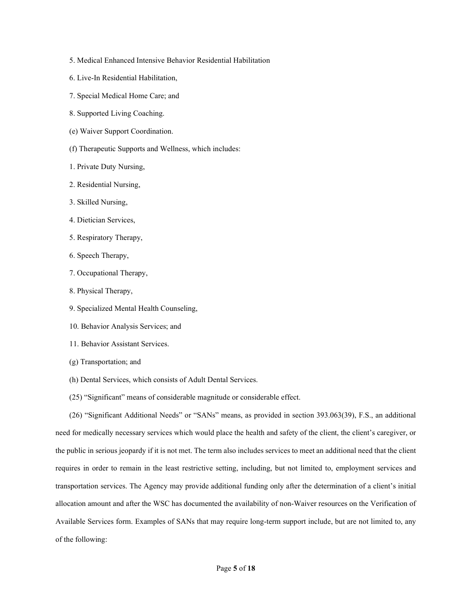- 5. Medical Enhanced Intensive Behavior Residential Habilitation
- 6. Live-In Residential Habilitation,
- 7. Special Medical Home Care; and
- 8. Supported Living Coaching.
- (e) Waiver Support Coordination.
- (f) Therapeutic Supports and Wellness, which includes:
- 1. Private Duty Nursing,
- 2. Residential Nursing,
- 3. Skilled Nursing,
- 4. Dietician Services,
- 5. Respiratory Therapy,
- 6. Speech Therapy,
- 7. Occupational Therapy,
- 8. Physical Therapy,
- 9. Specialized Mental Health Counseling,
- 10. Behavior Analysis Services; and
- 11. Behavior Assistant Services.
- (g) Transportation; and
- (h) Dental Services, which consists of Adult Dental Services.
- (25) "Significant" means of considerable magnitude or considerable effect.

(26) "Significant Additional Needs" or "SANs" means, as provided in section 393.063(39), F.S., an additional need for medically necessary services which would place the health and safety of the client, the client's caregiver, or the public in serious jeopardy if it is not met. The term also includes services to meet an additional need that the client requires in order to remain in the least restrictive setting, including, but not limited to, employment services and transportation services. The Agency may provide additional funding only after the determination of a client's initial allocation amount and after the WSC has documented the availability of non-Waiver resources on the Verification of Available Services form. Examples of SANs that may require long-term support include, but are not limited to, any of the following: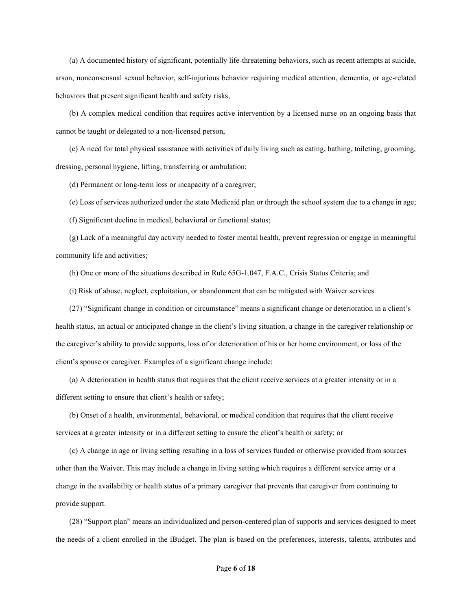(a) A documented history of significant, potentially life-threatening behaviors, such as recent attempts at suicide, arson, nonconsensual sexual behavior, self-injurious behavior requiring medical attention, dementia, or age-related behaviors that present significant health and safety risks,

(b) A complex medical condition that requires active intervention by a licensed nurse on an ongoing basis that cannot be taught or delegated to a non-licensed person,

(c) A need for total physical assistance with activities of daily living such as eating, bathing, toileting, grooming, dressing, personal hygiene, lifting, transferring or ambulation;

(d) Permanent or long-term loss or incapacity of a caregiver;

(e) Loss of services authorized under the state Medicaid plan or through the school system due to a change in age;

(f) Significant decline in medical, behavioral or functional status;

(g) Lack of a meaningful day activity needed to foster mental health, prevent regression or engage in meaningful community life and activities;

(h) One or more of the situations described in Rule 65G-1.047, F.A.C., Crisis Status Criteria; and

(i) Risk of abuse, neglect, exploitation, or abandonment that can be mitigated with Waiver services.

(27) "Significant change in condition or circumstance" means a significant change or deterioration in a client's health status, an actual or anticipated change in the client's living situation, a change in the caregiver relationship or the caregiver's ability to provide supports, loss of or deterioration of his or her home environment, or loss of the client's spouse or caregiver. Examples of a significant change include:

(a) A deterioration in health status that requires that the client receive services at a greater intensity or in a different setting to ensure that client's health or safety;

(b) Onset of a health, environmental, behavioral, or medical condition that requires that the client receive services at a greater intensity or in a different setting to ensure the client's health or safety; or

(c) A change in age or living setting resulting in a loss of services funded or otherwise provided from sources other than the Waiver. This may include a change in living setting which requires a different service array or a change in the availability or health status of a primary caregiver that prevents that caregiver from continuing to provide support.

(28) "Support plan" means an individualized and person-centered plan of supports and services designed to meet the needs of a client enrolled in the iBudget. The plan is based on the preferences, interests, talents, attributes and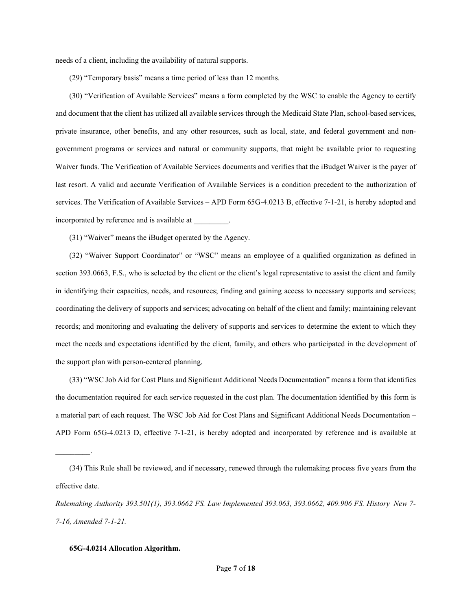needs of a client, including the availability of natural supports.

(29) "Temporary basis" means a time period of less than 12 months.

(30) "Verification of Available Services" means a form completed by the WSC to enable the Agency to certify and document that the client has utilized all available services through the Medicaid State Plan, school-based services, private insurance, other benefits, and any other resources, such as local, state, and federal government and nongovernment programs or services and natural or community supports, that might be available prior to requesting Waiver funds. The Verification of Available Services documents and verifies that the iBudget Waiver is the payer of last resort. A valid and accurate Verification of Available Services is a condition precedent to the authorization of services. The Verification of Available Services – APD Form 65G-4.0213 B, effective 7-1-21, is hereby adopted and incorporated by reference and is available at \_\_\_\_\_\_\_\_\_.

(31) "Waiver" means the iBudget operated by the Agency.

(32) "Waiver Support Coordinator" or "WSC" means an employee of a qualified organization as defined in section 393.0663, F.S., who is selected by the client or the client's legal representative to assist the client and family in identifying their capacities, needs, and resources; finding and gaining access to necessary supports and services; coordinating the delivery of supports and services; advocating on behalf of the client and family; maintaining relevant records; and monitoring and evaluating the delivery of supports and services to determine the extent to which they meet the needs and expectations identified by the client, family, and others who participated in the development of the support plan with person-centered planning.

(33) "WSC Job Aid for Cost Plans and Significant Additional Needs Documentation" means a form that identifies the documentation required for each service requested in the cost plan. The documentation identified by this form is a material part of each request. The WSC Job Aid for Cost Plans and Significant Additional Needs Documentation – APD Form 65G-4.0213 D, effective 7-1-21, is hereby adopted and incorporated by reference and is available at

## 65G-4.0214 Allocation Algorithm.

 $\mathcal{L}_\text{max}$ 

<sup>(34)</sup> This Rule shall be reviewed, and if necessary, renewed through the rulemaking process five years from the effective date.

Rulemaking Authority 393.501(1), 393.0662 FS. Law Implemented 393.063, 393.0662, 409.906 FS. History–New 7- 7-16, Amended 7-1-21.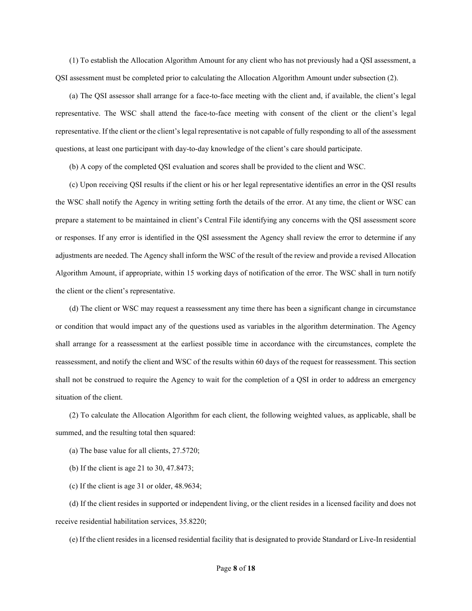(1) To establish the Allocation Algorithm Amount for any client who has not previously had a QSI assessment, a QSI assessment must be completed prior to calculating the Allocation Algorithm Amount under subsection (2).

(a) The QSI assessor shall arrange for a face-to-face meeting with the client and, if available, the client's legal representative. The WSC shall attend the face-to-face meeting with consent of the client or the client's legal representative. If the client or the client's legal representative is not capable of fully responding to all of the assessment questions, at least one participant with day-to-day knowledge of the client's care should participate.

(b) A copy of the completed QSI evaluation and scores shall be provided to the client and WSC.

(c) Upon receiving QSI results if the client or his or her legal representative identifies an error in the QSI results the WSC shall notify the Agency in writing setting forth the details of the error. At any time, the client or WSC can prepare a statement to be maintained in client's Central File identifying any concerns with the QSI assessment score or responses. If any error is identified in the QSI assessment the Agency shall review the error to determine if any adjustments are needed. The Agency shall inform the WSC of the result of the review and provide a revised Allocation Algorithm Amount, if appropriate, within 15 working days of notification of the error. The WSC shall in turn notify the client or the client's representative.

(d) The client or WSC may request a reassessment any time there has been a significant change in circumstance or condition that would impact any of the questions used as variables in the algorithm determination. The Agency shall arrange for a reassessment at the earliest possible time in accordance with the circumstances, complete the reassessment, and notify the client and WSC of the results within 60 days of the request for reassessment. This section shall not be construed to require the Agency to wait for the completion of a QSI in order to address an emergency situation of the client.

(2) To calculate the Allocation Algorithm for each client, the following weighted values, as applicable, shall be summed, and the resulting total then squared:

(a) The base value for all clients, 27.5720;

(b) If the client is age 21 to 30, 47.8473;

(c) If the client is age 31 or older, 48.9634;

(d) If the client resides in supported or independent living, or the client resides in a licensed facility and does not receive residential habilitation services, 35.8220;

(e) If the client resides in a licensed residential facility that is designated to provide Standard or Live-In residential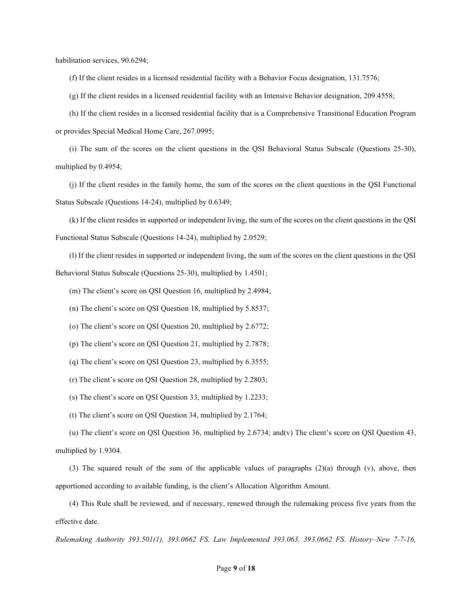habilitation services, 90.6294;

(f) If the client resides in a licensed residential facility with a Behavior Focus designation, 131.7576;

(g) If the client resides in a licensed residential facility with an Intensive Behavior designation, 209.4558;

(h) If the client resides in a licensed residential facility that is a Comprehensive Transitional Education Program or provides Special Medical Home Care, 267.0995;

(i) The sum of the scores on the client questions in the QSI Behavioral Status Subscale (Questions 25-30), multiplied by 0.4954;

(j) If the client resides in the family home, the sum of the scores on the client questions in the QSI Functional Status Subscale (Questions 14-24), multiplied by 0.6349;

(k) If the client resides in supported or independent living, the sum of the scores on the client questions in the QSI Functional Status Subscale (Questions 14-24), multiplied by 2.0529;

(l) If the client resides in supported or independent living, the sum of the scores on the client questions in the QSI Behavioral Status Subscale (Questions 25-30), multiplied by 1.4501;

(m) The client's score on QSI Question 16, multiplied by 2.4984;

(n) The client's score on QSI Question 18, multiplied by 5.8537;

(o) The client's score on QSI Question 20, multiplied by 2.6772;

(p) The client's score on QSI Question 21, multiplied by 2.7878;

(q) The client's score on QSI Question 23, multiplied by 6.3555;

(r) The client's score on QSI Question 28, multiplied by 2.2803;

(s) The client's score on QSI Question 33, multiplied by 1.2233;

(t) The client's score on QSI Question 34, multiplied by 2.1764;

(u) The client's score on QSI Question 36, multiplied by 2.6734; and(v) The client's score on QSI Question 43, multiplied by 1.9304.

(3) The squared result of the sum of the applicable values of paragraphs  $(2)(a)$  through (v), above, then apportioned according to available funding, is the client's Allocation Algorithm Amount.

(4) This Rule shall be reviewed, and if necessary, renewed through the rulemaking process five years from the effective date.

Rulemaking Authority 393.501(1), 393.0662 FS. Law Implemented 393.063, 393.0662 FS. History–New 7-7-16,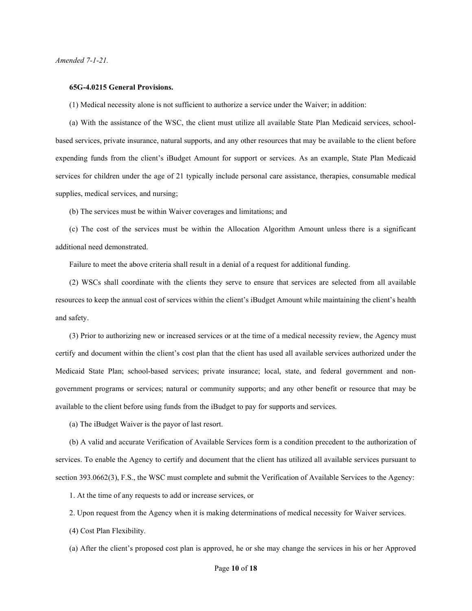Amended 7-1-21.

#### 65G-4.0215 General Provisions.

(1) Medical necessity alone is not sufficient to authorize a service under the Waiver; in addition:

(a) With the assistance of the WSC, the client must utilize all available State Plan Medicaid services, schoolbased services, private insurance, natural supports, and any other resources that may be available to the client before expending funds from the client's iBudget Amount for support or services. As an example, State Plan Medicaid services for children under the age of 21 typically include personal care assistance, therapies, consumable medical supplies, medical services, and nursing;

(b) The services must be within Waiver coverages and limitations; and

(c) The cost of the services must be within the Allocation Algorithm Amount unless there is a significant additional need demonstrated.

Failure to meet the above criteria shall result in a denial of a request for additional funding.

(2) WSCs shall coordinate with the clients they serve to ensure that services are selected from all available resources to keep the annual cost of services within the client's iBudget Amount while maintaining the client's health and safety.

(3) Prior to authorizing new or increased services or at the time of a medical necessity review, the Agency must certify and document within the client's cost plan that the client has used all available services authorized under the Medicaid State Plan; school-based services; private insurance; local, state, and federal government and nongovernment programs or services; natural or community supports; and any other benefit or resource that may be available to the client before using funds from the iBudget to pay for supports and services.

(a) The iBudget Waiver is the payor of last resort.

(b) A valid and accurate Verification of Available Services form is a condition precedent to the authorization of services. To enable the Agency to certify and document that the client has utilized all available services pursuant to section 393.0662(3), F.S., the WSC must complete and submit the Verification of Available Services to the Agency:

1. At the time of any requests to add or increase services, or

2. Upon request from the Agency when it is making determinations of medical necessity for Waiver services.

(4) Cost Plan Flexibility.

(a) After the client's proposed cost plan is approved, he or she may change the services in his or her Approved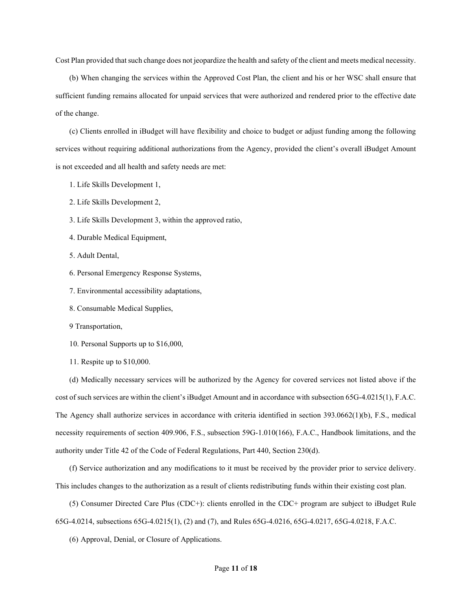Cost Plan provided that such change does not jeopardize the health and safety of the client and meets medical necessity.

(b) When changing the services within the Approved Cost Plan, the client and his or her WSC shall ensure that sufficient funding remains allocated for unpaid services that were authorized and rendered prior to the effective date of the change.

(c) Clients enrolled in iBudget will have flexibility and choice to budget or adjust funding among the following services without requiring additional authorizations from the Agency, provided the client's overall iBudget Amount is not exceeded and all health and safety needs are met:

- 1. Life Skills Development 1,
- 2. Life Skills Development 2,
- 3. Life Skills Development 3, within the approved ratio,
- 4. Durable Medical Equipment,
- 5. Adult Dental,
- 6. Personal Emergency Response Systems,
- 7. Environmental accessibility adaptations,
- 8. Consumable Medical Supplies,
- 9 Transportation,

10. Personal Supports up to \$16,000,

11. Respite up to \$10,000.

(d) Medically necessary services will be authorized by the Agency for covered services not listed above if the cost of such services are within the client's iBudget Amount and in accordance with subsection 65G-4.0215(1), F.A.C. The Agency shall authorize services in accordance with criteria identified in section 393.0662(1)(b), F.S., medical necessity requirements of section 409.906, F.S., subsection 59G-1.010(166), F.A.C., Handbook limitations, and the authority under Title 42 of the Code of Federal Regulations, Part 440, Section 230(d).

(f) Service authorization and any modifications to it must be received by the provider prior to service delivery. This includes changes to the authorization as a result of clients redistributing funds within their existing cost plan.

(5) Consumer Directed Care Plus (CDC+): clients enrolled in the CDC+ program are subject to iBudget Rule 65G-4.0214, subsections 65G-4.0215(1), (2) and (7), and Rules 65G-4.0216, 65G-4.0217, 65G-4.0218, F.A.C.

(6) Approval, Denial, or Closure of Applications.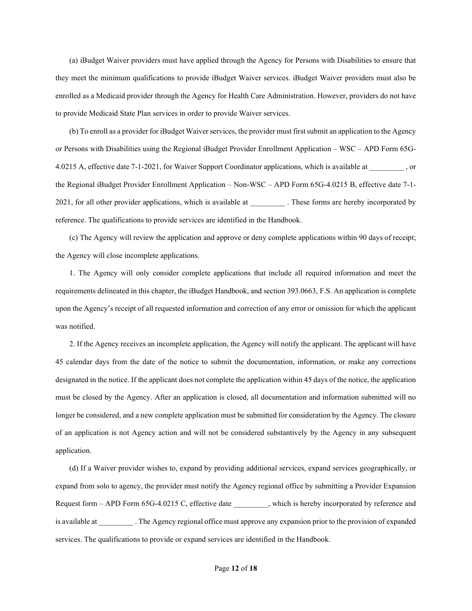(a) iBudget Waiver providers must have applied through the Agency for Persons with Disabilities to ensure that they meet the minimum qualifications to provide iBudget Waiver services. iBudget Waiver providers must also be enrolled as a Medicaid provider through the Agency for Health Care Administration. However, providers do not have to provide Medicaid State Plan services in order to provide Waiver services.

(b) To enroll as a provider for iBudget Waiver services, the provider must first submit an application to the Agency or Persons with Disabilities using the Regional iBudget Provider Enrollment Application – WSC – APD Form 65G-4.0215 A, effective date 7-1-2021, for Waiver Support Coordinator applications, which is available at  $\qquad \qquad$ , or the Regional iBudget Provider Enrollment Application – Non-WSC – APD Form 65G-4.0215 B, effective date 7-1- 2021, for all other provider applications, which is available at . These forms are hereby incorporated by reference. The qualifications to provide services are identified in the Handbook.

(c) The Agency will review the application and approve or deny complete applications within 90 days of receipt; the Agency will close incomplete applications.

1. The Agency will only consider complete applications that include all required information and meet the requirements delineated in this chapter, the iBudget Handbook, and section 393.0663, F.S. An application is complete upon the Agency's receipt of all requested information and correction of any error or omission for which the applicant was notified.

2. If the Agency receives an incomplete application, the Agency will notify the applicant. The applicant will have 45 calendar days from the date of the notice to submit the documentation, information, or make any corrections designated in the notice. If the applicant does not complete the application within 45 days of the notice, the application must be closed by the Agency. After an application is closed, all documentation and information submitted will no longer be considered, and a new complete application must be submitted for consideration by the Agency. The closure of an application is not Agency action and will not be considered substantively by the Agency in any subsequent application.

(d) If a Waiver provider wishes to, expand by providing additional services, expand services geographically, or expand from solo to agency, the provider must notify the Agency regional office by submitting a Provider Expansion Request form – APD Form 65G-4.0215 C, effective date \_\_\_\_\_\_\_\_\_, which is hereby incorporated by reference and is available at . The Agency regional office must approve any expansion prior to the provision of expanded services. The qualifications to provide or expand services are identified in the Handbook.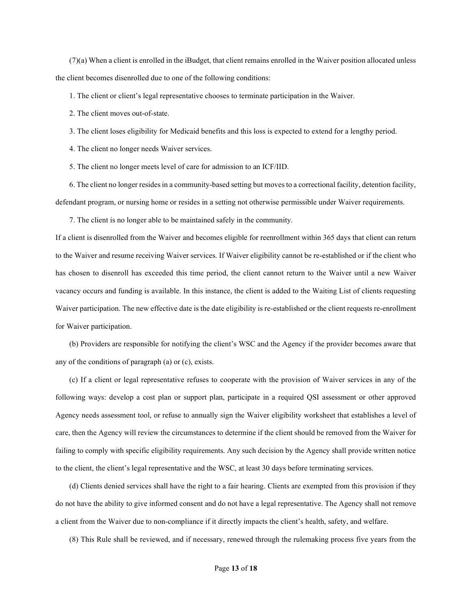$(7)(a)$  When a client is enrolled in the iBudget, that client remains enrolled in the Waiver position allocated unless the client becomes disenrolled due to one of the following conditions:

1. The client or client's legal representative chooses to terminate participation in the Waiver.

2. The client moves out-of-state.

3. The client loses eligibility for Medicaid benefits and this loss is expected to extend for a lengthy period.

4. The client no longer needs Waiver services.

5. The client no longer meets level of care for admission to an ICF/IID.

6. The client no longer resides in a community-based setting but moves to a correctional facility, detention facility, defendant program, or nursing home or resides in a setting not otherwise permissible under Waiver requirements.

7. The client is no longer able to be maintained safely in the community.

If a client is disenrolled from the Waiver and becomes eligible for reenrollment within 365 days that client can return to the Waiver and resume receiving Waiver services. If Waiver eligibility cannot be re-established or if the client who has chosen to disenroll has exceeded this time period, the client cannot return to the Waiver until a new Waiver vacancy occurs and funding is available. In this instance, the client is added to the Waiting List of clients requesting Waiver participation. The new effective date is the date eligibility is re-established or the client requests re-enrollment for Waiver participation.

(b) Providers are responsible for notifying the client's WSC and the Agency if the provider becomes aware that any of the conditions of paragraph (a) or (c), exists.

(c) If a client or legal representative refuses to cooperate with the provision of Waiver services in any of the following ways: develop a cost plan or support plan, participate in a required QSI assessment or other approved Agency needs assessment tool, or refuse to annually sign the Waiver eligibility worksheet that establishes a level of care, then the Agency will review the circumstances to determine if the client should be removed from the Waiver for failing to comply with specific eligibility requirements. Any such decision by the Agency shall provide written notice to the client, the client's legal representative and the WSC, at least 30 days before terminating services.

(d) Clients denied services shall have the right to a fair hearing. Clients are exempted from this provision if they do not have the ability to give informed consent and do not have a legal representative. The Agency shall not remove a client from the Waiver due to non-compliance if it directly impacts the client's health, safety, and welfare.

(8) This Rule shall be reviewed, and if necessary, renewed through the rulemaking process five years from the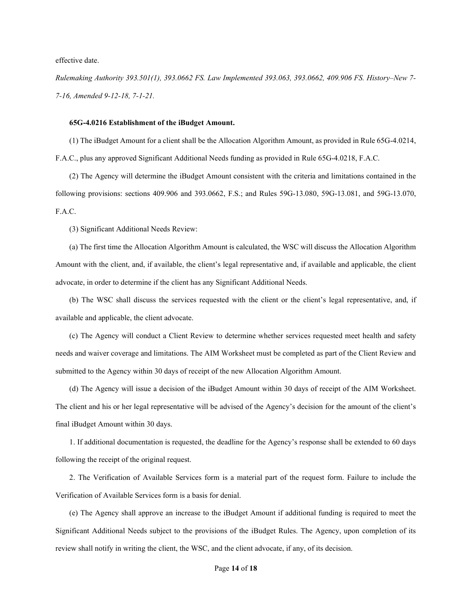effective date.

Rulemaking Authority 393.501(1), 393.0662 FS. Law Implemented 393.063, 393.0662, 409.906 FS. History–New 7- 7-16, Amended 9-12-18, 7-1-21.

# 65G-4.0216 Establishment of the iBudget Amount.

(1) The iBudget Amount for a client shall be the Allocation Algorithm Amount, as provided in Rule 65G-4.0214, F.A.C., plus any approved Significant Additional Needs funding as provided in Rule 65G-4.0218, F.A.C.

(2) The Agency will determine the iBudget Amount consistent with the criteria and limitations contained in the following provisions: sections 409.906 and 393.0662, F.S.; and Rules 59G-13.080, 59G-13.081, and 59G-13.070, F.A.C.

(3) Significant Additional Needs Review:

(a) The first time the Allocation Algorithm Amount is calculated, the WSC will discuss the Allocation Algorithm Amount with the client, and, if available, the client's legal representative and, if available and applicable, the client advocate, in order to determine if the client has any Significant Additional Needs.

(b) The WSC shall discuss the services requested with the client or the client's legal representative, and, if available and applicable, the client advocate.

(c) The Agency will conduct a Client Review to determine whether services requested meet health and safety needs and waiver coverage and limitations. The AIM Worksheet must be completed as part of the Client Review and submitted to the Agency within 30 days of receipt of the new Allocation Algorithm Amount.

(d) The Agency will issue a decision of the iBudget Amount within 30 days of receipt of the AIM Worksheet. The client and his or her legal representative will be advised of the Agency's decision for the amount of the client's final iBudget Amount within 30 days.

1. If additional documentation is requested, the deadline for the Agency's response shall be extended to 60 days following the receipt of the original request.

2. The Verification of Available Services form is a material part of the request form. Failure to include the Verification of Available Services form is a basis for denial.

(e) The Agency shall approve an increase to the iBudget Amount if additional funding is required to meet the Significant Additional Needs subject to the provisions of the iBudget Rules. The Agency, upon completion of its review shall notify in writing the client, the WSC, and the client advocate, if any, of its decision.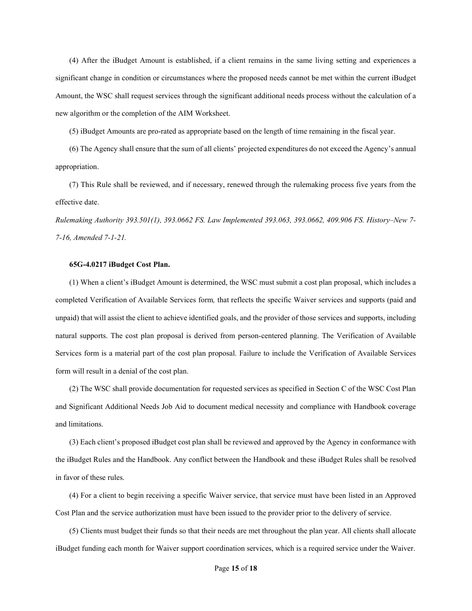(4) After the iBudget Amount is established, if a client remains in the same living setting and experiences a significant change in condition or circumstances where the proposed needs cannot be met within the current iBudget Amount, the WSC shall request services through the significant additional needs process without the calculation of a new algorithm or the completion of the AIM Worksheet.

(5) iBudget Amounts are pro-rated as appropriate based on the length of time remaining in the fiscal year.

(6) The Agency shall ensure that the sum of all clients' projected expenditures do not exceed the Agency's annual appropriation.

(7) This Rule shall be reviewed, and if necessary, renewed through the rulemaking process five years from the effective date.

Rulemaking Authority 393.501(1), 393.0662 FS. Law Implemented 393.063, 393.0662, 409.906 FS. History–New 7- 7-16, Amended 7-1-21.

### 65G-4.0217 iBudget Cost Plan.

(1) When a client's iBudget Amount is determined, the WSC must submit a cost plan proposal, which includes a completed Verification of Available Services form, that reflects the specific Waiver services and supports (paid and unpaid) that will assist the client to achieve identified goals, and the provider of those services and supports, including natural supports. The cost plan proposal is derived from person-centered planning. The Verification of Available Services form is a material part of the cost plan proposal. Failure to include the Verification of Available Services form will result in a denial of the cost plan.

(2) The WSC shall provide documentation for requested services as specified in Section C of the WSC Cost Plan and Significant Additional Needs Job Aid to document medical necessity and compliance with Handbook coverage and limitations.

(3) Each client's proposed iBudget cost plan shall be reviewed and approved by the Agency in conformance with the iBudget Rules and the Handbook. Any conflict between the Handbook and these iBudget Rules shall be resolved in favor of these rules.

(4) For a client to begin receiving a specific Waiver service, that service must have been listed in an Approved Cost Plan and the service authorization must have been issued to the provider prior to the delivery of service.

(5) Clients must budget their funds so that their needs are met throughout the plan year. All clients shall allocate iBudget funding each month for Waiver support coordination services, which is a required service under the Waiver.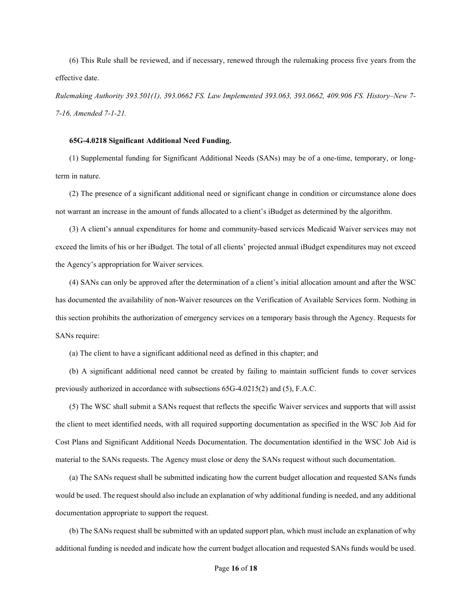(6) This Rule shall be reviewed, and if necessary, renewed through the rulemaking process five years from the effective date.

Rulemaking Authority 393.501(1), 393.0662 FS. Law Implemented 393.063, 393.0662, 409.906 FS. History–New 7- 7-16, Amended 7-1-21.

## 65G-4.0218 Significant Additional Need Funding.

(1) Supplemental funding for Significant Additional Needs (SANs) may be of a one-time, temporary, or longterm in nature.

(2) The presence of a significant additional need or significant change in condition or circumstance alone does not warrant an increase in the amount of funds allocated to a client's iBudget as determined by the algorithm.

(3) A client's annual expenditures for home and community-based services Medicaid Waiver services may not exceed the limits of his or her iBudget. The total of all clients' projected annual iBudget expenditures may not exceed the Agency's appropriation for Waiver services.

(4) SANs can only be approved after the determination of a client's initial allocation amount and after the WSC has documented the availability of non-Waiver resources on the Verification of Available Services form. Nothing in this section prohibits the authorization of emergency services on a temporary basis through the Agency. Requests for SANs require:

(a) The client to have a significant additional need as defined in this chapter; and

(b) A significant additional need cannot be created by failing to maintain sufficient funds to cover services previously authorized in accordance with subsections 65G-4.0215(2) and (5), F.A.C.

(5) The WSC shall submit a SANs request that reflects the specific Waiver services and supports that will assist the client to meet identified needs, with all required supporting documentation as specified in the WSC Job Aid for Cost Plans and Significant Additional Needs Documentation. The documentation identified in the WSC Job Aid is material to the SANs requests. The Agency must close or deny the SANs request without such documentation.

(a) The SANs request shall be submitted indicating how the current budget allocation and requested SANs funds would be used. The request should also include an explanation of why additional funding is needed, and any additional documentation appropriate to support the request.

(b) The SANs request shall be submitted with an updated support plan, which must include an explanation of why additional funding is needed and indicate how the current budget allocation and requested SANs funds would be used.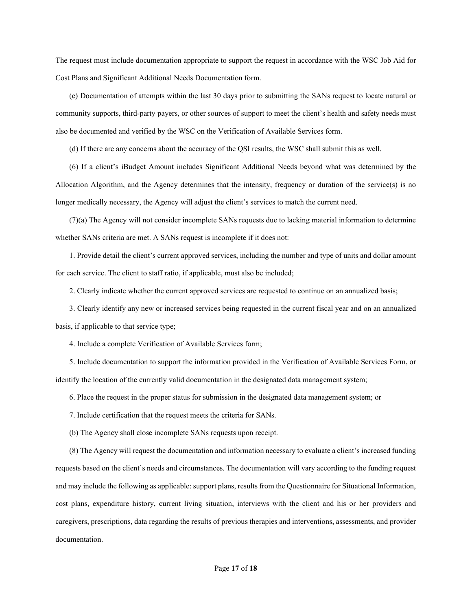The request must include documentation appropriate to support the request in accordance with the WSC Job Aid for Cost Plans and Significant Additional Needs Documentation form.

(c) Documentation of attempts within the last 30 days prior to submitting the SANs request to locate natural or community supports, third-party payers, or other sources of support to meet the client's health and safety needs must also be documented and verified by the WSC on the Verification of Available Services form.

(d) If there are any concerns about the accuracy of the QSI results, the WSC shall submit this as well.

(6) If a client's iBudget Amount includes Significant Additional Needs beyond what was determined by the Allocation Algorithm, and the Agency determines that the intensity, frequency or duration of the service(s) is no longer medically necessary, the Agency will adjust the client's services to match the current need.

(7)(a) The Agency will not consider incomplete SANs requests due to lacking material information to determine whether SANs criteria are met. A SANs request is incomplete if it does not:

1. Provide detail the client's current approved services, including the number and type of units and dollar amount for each service. The client to staff ratio, if applicable, must also be included;

2. Clearly indicate whether the current approved services are requested to continue on an annualized basis;

3. Clearly identify any new or increased services being requested in the current fiscal year and on an annualized basis, if applicable to that service type;

4. Include a complete Verification of Available Services form;

5. Include documentation to support the information provided in the Verification of Available Services Form, or identify the location of the currently valid documentation in the designated data management system;

6. Place the request in the proper status for submission in the designated data management system; or

7. Include certification that the request meets the criteria for SANs.

(b) The Agency shall close incomplete SANs requests upon receipt.

(8) The Agency will request the documentation and information necessary to evaluate a client's increased funding requests based on the client's needs and circumstances. The documentation will vary according to the funding request and may include the following as applicable: support plans, results from the Questionnaire for Situational Information, cost plans, expenditure history, current living situation, interviews with the client and his or her providers and caregivers, prescriptions, data regarding the results of previous therapies and interventions, assessments, and provider documentation.